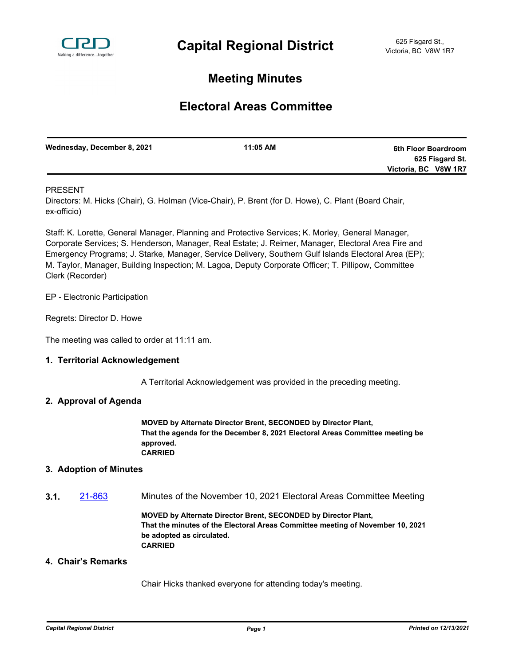

# **Meeting Minutes**

# **Electoral Areas Committee**

| Wednesday, December 8, 2021 | 11:05 AM | 6th Floor Boardroom  |
|-----------------------------|----------|----------------------|
|                             |          | 625 Fisgard St.      |
|                             |          | Victoria, BC V8W 1R7 |

## PRESENT

Directors: M. Hicks (Chair), G. Holman (Vice-Chair), P. Brent (for D. Howe), C. Plant (Board Chair, ex-officio)

Staff: K. Lorette, General Manager, Planning and Protective Services; K. Morley, General Manager, Corporate Services; S. Henderson, Manager, Real Estate; J. Reimer, Manager, Electoral Area Fire and Emergency Programs; J. Starke, Manager, Service Delivery, Southern Gulf Islands Electoral Area (EP); M. Taylor, Manager, Building Inspection; M. Lagoa, Deputy Corporate Officer; T. Pillipow, Committee Clerk (Recorder)

EP - Electronic Participation

Regrets: Director D. Howe

The meeting was called to order at 11:11 am.

### **1. Territorial Acknowledgement**

A Territorial Acknowledgement was provided in the preceding meeting.

### **2. Approval of Agenda**

**MOVED by Alternate Director Brent, SECONDED by Director Plant, That the agenda for the December 8, 2021 Electoral Areas Committee meeting be approved. CARRIED**

#### **3. Adoption of Minutes**

**3.1.** [21-863](http://crd.ca.legistar.com/gateway.aspx?m=l&id=/matter.aspx?key=8811) Minutes of the November 10, 2021 Electoral Areas Committee Meeting

**MOVED by Alternate Director Brent, SECONDED by Director Plant, That the minutes of the Electoral Areas Committee meeting of November 10, 2021 be adopted as circulated. CARRIED**

#### **4. Chair's Remarks**

Chair Hicks thanked everyone for attending today's meeting.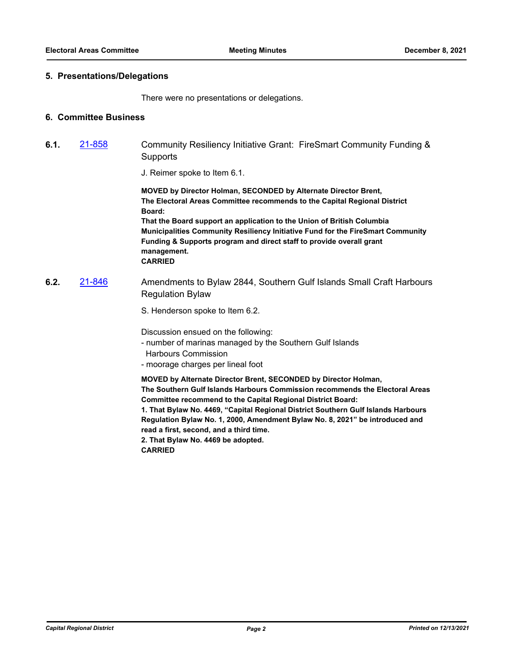#### **5. Presentations/Delegations**

There were no presentations or delegations.

#### **6. Committee Business**

**6.1.** [21-858](http://crd.ca.legistar.com/gateway.aspx?m=l&id=/matter.aspx?key=8806) Community Resiliency Initiative Grant: FireSmart Community Funding & Supports

J. Reimer spoke to Item 6.1.

**MOVED by Director Holman, SECONDED by Alternate Director Brent, The Electoral Areas Committee recommends to the Capital Regional District Board:**

**That the Board support an application to the Union of British Columbia Municipalities Community Resiliency Initiative Fund for the FireSmart Community Funding & Supports program and direct staff to provide overall grant management. CARRIED**

- **6.2.** [21-846](http://crd.ca.legistar.com/gateway.aspx?m=l&id=/matter.aspx?key=8794) Amendments to Bylaw 2844, Southern Gulf Islands Small Craft Harbours Regulation Bylaw
	- S. Henderson spoke to Item 6.2.

Discussion ensued on the following:

- number of marinas managed by the Southern Gulf Islands
- Harbours Commission
- moorage charges per lineal foot

**MOVED by Alternate Director Brent, SECONDED by Director Holman, The Southern Gulf Islands Harbours Commission recommends the Electoral Areas Committee recommend to the Capital Regional District Board:**

**1. That Bylaw No. 4469, "Capital Regional District Southern Gulf Islands Harbours Regulation Bylaw No. 1, 2000, Amendment Bylaw No. 8, 2021" be introduced and read a first, second, and a third time.**

**2. That Bylaw No. 4469 be adopted.**

**CARRIED**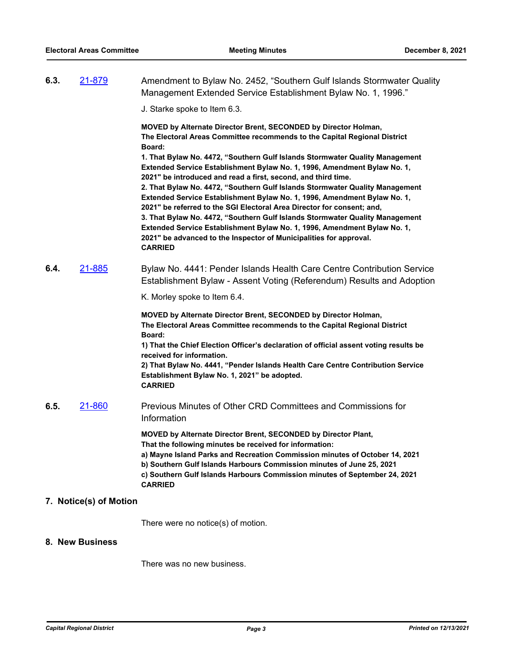| 6.3. | 21-879                 | Amendment to Bylaw No. 2452, "Southern Gulf Islands Stormwater Quality<br>Management Extended Service Establishment Bylaw No. 1, 1996."                                                                                                                                                                                                                                                                                                                                                                                                                                                                                                                                                                                       |  |
|------|------------------------|-------------------------------------------------------------------------------------------------------------------------------------------------------------------------------------------------------------------------------------------------------------------------------------------------------------------------------------------------------------------------------------------------------------------------------------------------------------------------------------------------------------------------------------------------------------------------------------------------------------------------------------------------------------------------------------------------------------------------------|--|
|      |                        | J. Starke spoke to Item 6.3.                                                                                                                                                                                                                                                                                                                                                                                                                                                                                                                                                                                                                                                                                                  |  |
|      |                        | <b>MOVED by Alternate Director Brent, SECONDED by Director Holman,</b><br>The Electoral Areas Committee recommends to the Capital Regional District                                                                                                                                                                                                                                                                                                                                                                                                                                                                                                                                                                           |  |
|      |                        | Board:<br>1. That Bylaw No. 4472, "Southern Gulf Islands Stormwater Quality Management<br>Extended Service Establishment Bylaw No. 1, 1996, Amendment Bylaw No. 1,<br>2021" be introduced and read a first, second, and third time.<br>2. That Bylaw No. 4472, "Southern Gulf Islands Stormwater Quality Management<br>Extended Service Establishment Bylaw No. 1, 1996, Amendment Bylaw No. 1,<br>2021" be referred to the SGI Electoral Area Director for consent; and,<br>3. That Bylaw No. 4472, "Southern Gulf Islands Stormwater Quality Management<br>Extended Service Establishment Bylaw No. 1, 1996, Amendment Bylaw No. 1,<br>2021" be advanced to the Inspector of Municipalities for approval.<br><b>CARRIED</b> |  |
| 6.4. | 21-885                 | Bylaw No. 4441: Pender Islands Health Care Centre Contribution Service<br>Establishment Bylaw - Assent Voting (Referendum) Results and Adoption                                                                                                                                                                                                                                                                                                                                                                                                                                                                                                                                                                               |  |
|      |                        | K. Morley spoke to Item 6.4.                                                                                                                                                                                                                                                                                                                                                                                                                                                                                                                                                                                                                                                                                                  |  |
|      |                        | MOVED by Alternate Director Brent, SECONDED by Director Holman,<br>The Electoral Areas Committee recommends to the Capital Regional District<br>Board:                                                                                                                                                                                                                                                                                                                                                                                                                                                                                                                                                                        |  |
|      |                        | 1) That the Chief Election Officer's declaration of official assent voting results be                                                                                                                                                                                                                                                                                                                                                                                                                                                                                                                                                                                                                                         |  |
|      |                        | received for information.<br>2) That Bylaw No. 4441, "Pender Islands Health Care Centre Contribution Service<br>Establishment Bylaw No. 1, 2021" be adopted.<br><b>CARRIED</b>                                                                                                                                                                                                                                                                                                                                                                                                                                                                                                                                                |  |
| 6.5. | 21-860                 | Previous Minutes of Other CRD Committees and Commissions for<br>Information                                                                                                                                                                                                                                                                                                                                                                                                                                                                                                                                                                                                                                                   |  |
|      |                        | MOVED by Alternate Director Brent, SECONDED by Director Plant,<br>That the following minutes be received for information:<br>a) Mayne Island Parks and Recreation Commission minutes of October 14, 2021<br>b) Southern Gulf Islands Harbours Commission minutes of June 25, 2021<br>c) Southern Gulf Islands Harbours Commission minutes of September 24, 2021<br><b>CARRIED</b>                                                                                                                                                                                                                                                                                                                                             |  |
|      | 7. Notice(s) of Motion |                                                                                                                                                                                                                                                                                                                                                                                                                                                                                                                                                                                                                                                                                                                               |  |
|      |                        | There were no notice(s) of motion.                                                                                                                                                                                                                                                                                                                                                                                                                                                                                                                                                                                                                                                                                            |  |

## **8. New Business**

There was no new business.